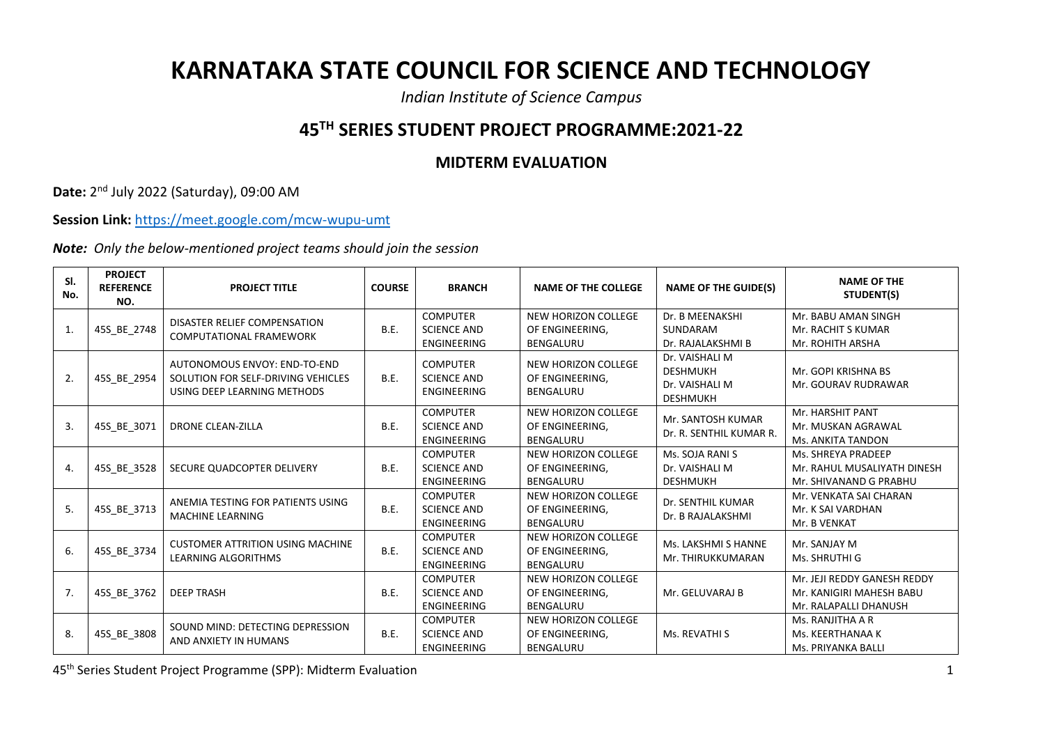## **KARNATAKA STATE COUNCIL FOR SCIENCE AND TECHNOLOGY**

*Indian Institute of Science Campus*

## **45TH SERIES STUDENT PROJECT PROGRAMME:2021-22**

## **MIDTERM EVALUATION**

**Date:** 2 nd July 2022 (Saturday), 09:00 AM

**Session Link:** <https://meet.google.com/mcw-wupu-umt>

*Note: Only the below-mentioned project teams should join the session*

| SI.<br>No.     | <b>PROJECT</b><br><b>REFERENCE</b><br>NO. | <b>PROJECT TITLE</b>                                                                              | <b>COURSE</b> | <b>BRANCH</b>                                               | <b>NAME OF THE COLLEGE</b>                                        | <b>NAME OF THE GUIDE(S)</b>                                            | <b>NAME OF THE</b><br>STUDENT(S)                                                 |
|----------------|-------------------------------------------|---------------------------------------------------------------------------------------------------|---------------|-------------------------------------------------------------|-------------------------------------------------------------------|------------------------------------------------------------------------|----------------------------------------------------------------------------------|
| $\mathbf{1}$ . | 45S BE 2748                               | DISASTER RELIEF COMPENSATION<br><b>COMPUTATIONAL FRAMEWORK</b>                                    | <b>B.E.</b>   | <b>COMPUTER</b><br><b>SCIENCE AND</b><br>ENGINEERING        | NEW HORIZON COLLEGE<br>OF ENGINEERING.<br><b>BENGALURU</b>        | Dr. B MEENAKSHI<br>SUNDARAM<br>Dr. RAJALAKSHMI B                       | Mr. BABU AMAN SINGH<br>Mr. RACHIT S KUMAR<br>Mr. ROHITH ARSHA                    |
| 2.             | 45S BE 2954                               | AUTONOMOUS ENVOY: END-TO-END<br>SOLUTION FOR SELF-DRIVING VEHICLES<br>USING DEEP LEARNING METHODS | B.E.          | <b>COMPUTER</b><br><b>SCIENCE AND</b><br><b>ENGINEERING</b> | NEW HORIZON COLLEGE<br>OF ENGINEERING.<br><b>BENGALURU</b>        | Dr. VAISHALI M<br><b>DESHMUKH</b><br>Dr. VAISHALI M<br><b>DESHMUKH</b> | Mr. GOPI KRISHNA BS<br>Mr. GOURAV RUDRAWAR                                       |
| 3.             | 45S BE 3071                               | <b>DRONE CLEAN-ZILLA</b>                                                                          | B.E.          | <b>COMPUTER</b><br><b>SCIENCE AND</b><br><b>ENGINEERING</b> | <b>NEW HORIZON COLLEGE</b><br>OF ENGINEERING,<br><b>BENGALURU</b> | Mr. SANTOSH KUMAR<br>Dr. R. SENTHIL KUMAR R.                           | Mr. HARSHIT PANT<br>Mr. MUSKAN AGRAWAL<br>Ms. ANKITA TANDON                      |
| 4.             | 45S_BE_3528                               | SECURE QUADCOPTER DELIVERY                                                                        | B.E.          | <b>COMPUTER</b><br><b>SCIENCE AND</b><br>ENGINEERING        | NEW HORIZON COLLEGE<br>OF ENGINEERING,<br><b>BENGALURU</b>        | Ms. SOJA RANI S<br>Dr. VAISHALI M<br><b>DESHMUKH</b>                   | Ms. SHREYA PRADEEP<br>Mr. RAHUL MUSALIYATH DINESH<br>Mr. SHIVANAND G PRABHU      |
| 5.             | 45S_BE_3713                               | ANEMIA TESTING FOR PATIENTS USING<br><b>MACHINE LEARNING</b>                                      | B.E.          | <b>COMPUTER</b><br><b>SCIENCE AND</b><br><b>ENGINEERING</b> | <b>NEW HORIZON COLLEGE</b><br>OF ENGINEERING,<br><b>BENGALURU</b> | Dr. SENTHIL KUMAR<br>Dr. B RAJALAKSHMI                                 | Mr. VENKATA SAI CHARAN<br>Mr. K SAI VARDHAN<br>Mr. B VENKAT                      |
| 6.             | 45S_BE_3734                               | <b>CUSTOMER ATTRITION USING MACHINE</b><br>LEARNING ALGORITHMS                                    | <b>B.E.</b>   | <b>COMPUTER</b><br><b>SCIENCE AND</b><br>ENGINEERING        | NEW HORIZON COLLEGE<br>OF ENGINEERING.<br><b>BENGALURU</b>        | Ms. LAKSHMI S HANNE<br>Mr. THIRUKKUMARAN                               | Mr. SANJAY M<br>Ms. SHRUTHI G                                                    |
| 7.             | 45S BE 3762                               | <b>DEEP TRASH</b>                                                                                 | B.E.          | <b>COMPUTER</b><br><b>SCIENCE AND</b><br>ENGINEERING        | NEW HORIZON COLLEGE<br>OF ENGINEERING.<br>BENGALURU               | Mr. GELUVARAJ B                                                        | Mr. JEJI REDDY GANESH REDDY<br>Mr. KANIGIRI MAHESH BABU<br>Mr. RALAPALLI DHANUSH |
| 8.             | 45S BE 3808                               | SOUND MIND: DETECTING DEPRESSION<br>AND ANXIETY IN HUMANS                                         | B.E.          | <b>COMPUTER</b><br><b>SCIENCE AND</b><br>ENGINEERING        | NEW HORIZON COLLEGE<br>OF ENGINEERING,<br><b>BENGALURU</b>        | Ms. REVATHI S                                                          | Ms. RANJITHA A R<br>Ms. KEERTHANAA K<br>Ms. PRIYANKA BALLI                       |

45th Series Student Project Programme (SPP): Midterm Evaluation 1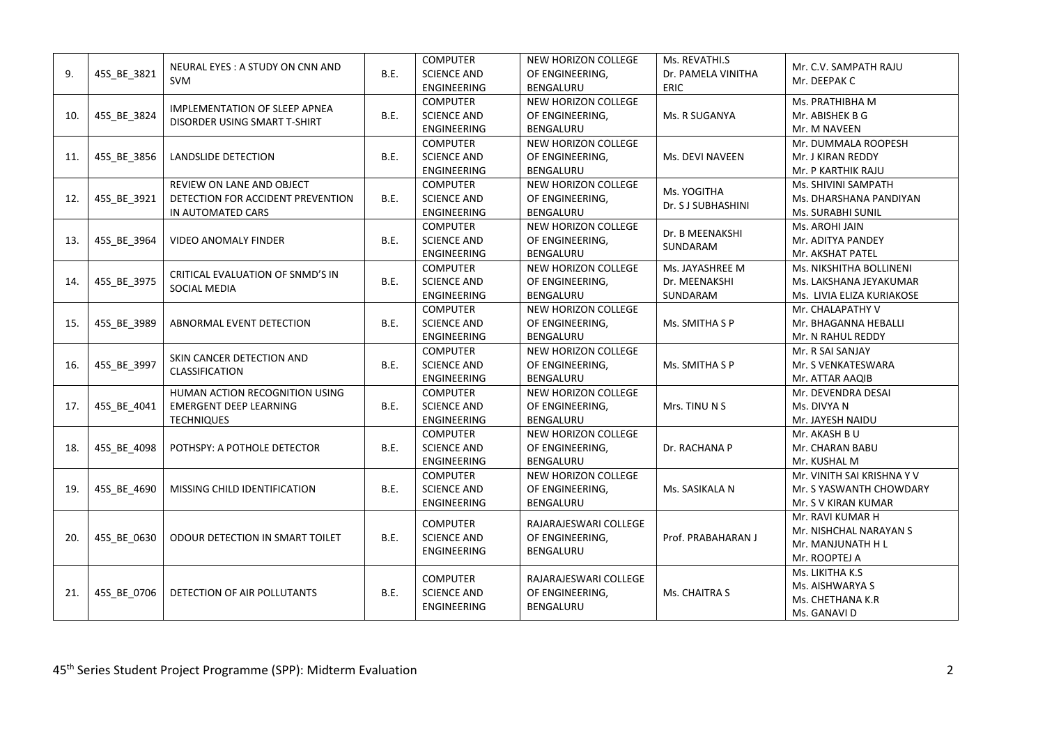| 9.  | 45S_BE_3821 | NEURAL EYES: A STUDY ON CNN AND<br><b>SVM</b>                                        | <b>B.E.</b> | <b>COMPUTER</b><br><b>SCIENCE AND</b><br><b>ENGINEERING</b> | NEW HORIZON COLLEGE<br>OF ENGINEERING,<br>BENGALURU          | Ms. REVATHI.S<br>Dr. PAMELA VINITHA<br>ERIC  | Mr. C.V. SAMPATH RAJU<br>Mr. DEEPAK C                                            |
|-----|-------------|--------------------------------------------------------------------------------------|-------------|-------------------------------------------------------------|--------------------------------------------------------------|----------------------------------------------|----------------------------------------------------------------------------------|
| 10. | 45S_BE_3824 | IMPLEMENTATION OF SLEEP APNEA<br>DISORDER USING SMART T-SHIRT                        | B.E.        | <b>COMPUTER</b><br><b>SCIENCE AND</b><br><b>ENGINEERING</b> | NEW HORIZON COLLEGE<br>OF ENGINEERING,<br>BENGALURU          | Ms. R SUGANYA                                | Ms. PRATHIBHA M<br>Mr. ABISHEK B G<br>Mr. M NAVEEN                               |
| 11. | 45S BE 3856 | LANDSLIDE DETECTION                                                                  | <b>B.E.</b> | <b>COMPUTER</b><br><b>SCIENCE AND</b><br><b>ENGINEERING</b> | NEW HORIZON COLLEGE<br>OF ENGINEERING,<br>BENGALURU          | Ms. DEVI NAVEEN                              | Mr. DUMMALA ROOPESH<br>Mr. J KIRAN REDDY<br>Mr. P KARTHIK RAJU                   |
| 12. | 45S_BE_3921 | REVIEW ON LANE AND OBJECT<br>DETECTION FOR ACCIDENT PREVENTION<br>IN AUTOMATED CARS  | <b>B.E.</b> | <b>COMPUTER</b><br><b>SCIENCE AND</b><br><b>ENGINEERING</b> | NEW HORIZON COLLEGE<br>OF ENGINEERING,<br>BENGALURU          | Ms. YOGITHA<br>Dr. S J SUBHASHINI            | Ms. SHIVINI SAMPATH<br>Ms. DHARSHANA PANDIYAN<br>Ms. SURABHI SUNIL               |
| 13. | 45S_BE_3964 | <b>VIDEO ANOMALY FINDER</b>                                                          | <b>B.E.</b> | <b>COMPUTER</b><br><b>SCIENCE AND</b><br><b>ENGINEERING</b> | NEW HORIZON COLLEGE<br>OF ENGINEERING,<br>BENGALURU          | Dr. B MEENAKSHI<br>SUNDARAM                  | Ms. AROHI JAIN<br>Mr. ADITYA PANDEY<br>Mr. AKSHAT PATEL                          |
| 14. | 45S_BE_3975 | CRITICAL EVALUATION OF SNMD'S IN<br>SOCIAL MEDIA                                     | B.E.        | <b>COMPUTER</b><br><b>SCIENCE AND</b><br><b>ENGINEERING</b> | NEW HORIZON COLLEGE<br>OF ENGINEERING,<br>BENGALURU          | Ms. JAYASHREE M<br>Dr. MEENAKSHI<br>SUNDARAM | Ms. NIKSHITHA BOLLINENI<br>Ms. LAKSHANA JEYAKUMAR<br>Ms. LIVIA ELIZA KURIAKOSE   |
| 15. | 45S_BE_3989 | ABNORMAL EVENT DETECTION                                                             | B.E.        | <b>COMPUTER</b><br><b>SCIENCE AND</b><br><b>ENGINEERING</b> | NEW HORIZON COLLEGE<br>OF ENGINEERING,<br>BENGALURU          | Ms. SMITHA S P                               | Mr. CHALAPATHY V<br>Mr. BHAGANNA HEBALLI<br>Mr. N RAHUL REDDY                    |
| 16. | 45S_BE_3997 | SKIN CANCER DETECTION AND<br>CLASSIFICATION                                          | <b>B.E.</b> | <b>COMPUTER</b><br><b>SCIENCE AND</b><br><b>ENGINEERING</b> | NEW HORIZON COLLEGE<br>OF ENGINEERING,<br>BENGALURU          | Ms. SMITHA S P                               | Mr. R SAI SANJAY<br>Mr. S VENKATESWARA<br>Mr. ATTAR AAQIB                        |
| 17. | 45S BE 4041 | HUMAN ACTION RECOGNITION USING<br><b>EMERGENT DEEP LEARNING</b><br><b>TECHNIQUES</b> | <b>B.E.</b> | <b>COMPUTER</b><br><b>SCIENCE AND</b><br><b>ENGINEERING</b> | NEW HORIZON COLLEGE<br>OF ENGINEERING,<br>BENGALURU          | Mrs. TINU N S                                | Mr. DEVENDRA DESAI<br>Ms. DIVYA N<br>Mr. JAYESH NAIDU                            |
| 18. | 45S_BE_4098 | POTHSPY: A POTHOLE DETECTOR                                                          | <b>B.E.</b> | <b>COMPUTER</b><br><b>SCIENCE AND</b><br>ENGINEERING        | NEW HORIZON COLLEGE<br>OF ENGINEERING,<br>BENGALURU          | Dr. RACHANA P                                | Mr. AKASH B U<br>Mr. CHARAN BABU<br>Mr. KUSHAL M                                 |
| 19. | 45S BE 4690 | MISSING CHILD IDENTIFICATION                                                         | B.E.        | <b>COMPUTER</b><br><b>SCIENCE AND</b><br><b>ENGINEERING</b> | NEW HORIZON COLLEGE<br>OF ENGINEERING,<br>BENGALURU          | Ms. SASIKALA N                               | Mr. VINITH SAI KRISHNA Y V<br>Mr. S YASWANTH CHOWDARY<br>Mr. S V KIRAN KUMAR     |
| 20. | 45S BE 0630 | ODOUR DETECTION IN SMART TOILET                                                      | <b>B.E.</b> | <b>COMPUTER</b><br><b>SCIENCE AND</b><br><b>ENGINEERING</b> | RAJARAJESWARI COLLEGE<br>OF ENGINEERING,<br>BENGALURU        | Prof. PRABAHARAN J                           | Mr. RAVI KUMAR H<br>Mr. NISHCHAL NARAYAN S<br>Mr. MANJUNATH H L<br>Mr. ROOPTEJ A |
| 21. | 45S BE 0706 | DETECTION OF AIR POLLUTANTS                                                          | <b>B.E.</b> | <b>COMPUTER</b><br><b>SCIENCE AND</b><br>ENGINEERING        | RAJARAJESWARI COLLEGE<br>OF ENGINEERING,<br><b>BENGALURU</b> | Ms. CHAITRA S                                | Ms. LIKITHA K.S<br>Ms. AISHWARYA S<br>Ms. CHETHANA K.R<br>Ms. GANAVI D           |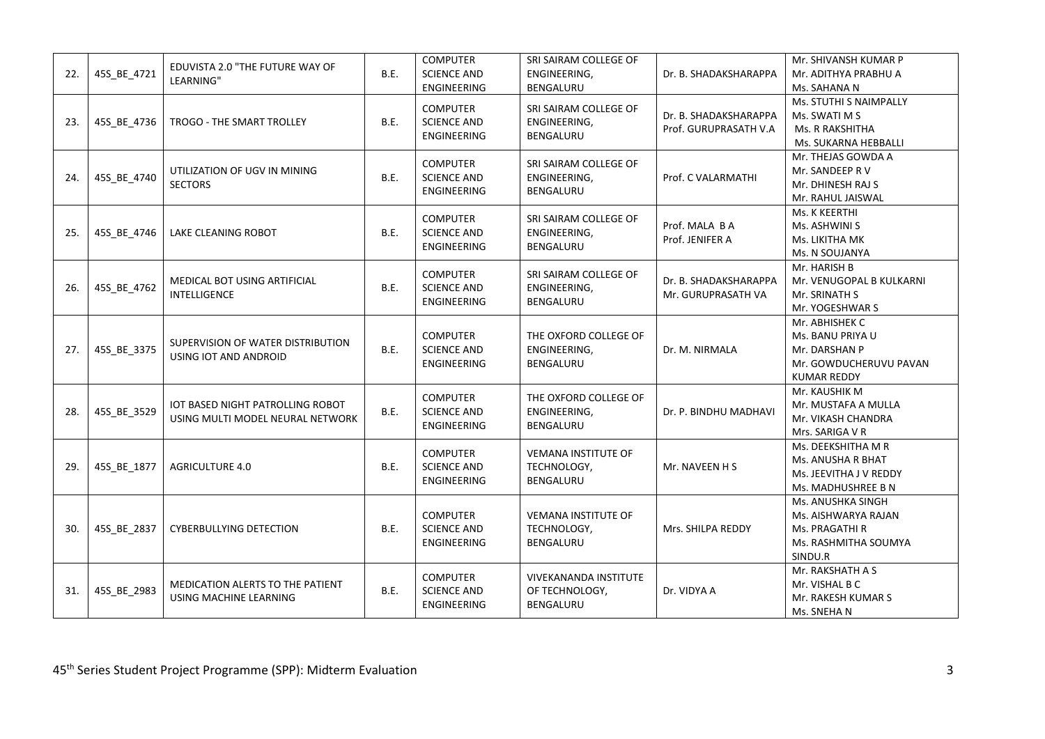| 22. | 45S_BE_4721 | EDUVISTA 2.0 "THE FUTURE WAY OF<br>LEARNING"                         | <b>B.E.</b> | <b>COMPUTER</b><br><b>SCIENCE AND</b><br>ENGINEERING        | SRI SAIRAM COLLEGE OF<br>ENGINEERING,<br>BENGALURU                 | Dr. B. SHADAKSHARAPPA                          | Mr. SHIVANSH KUMAR P<br>Mr. ADITHYA PRABHU A<br>Ms. SAHANA N                                        |
|-----|-------------|----------------------------------------------------------------------|-------------|-------------------------------------------------------------|--------------------------------------------------------------------|------------------------------------------------|-----------------------------------------------------------------------------------------------------|
| 23. | 45S_BE_4736 | TROGO - THE SMART TROLLEY                                            | <b>B.E.</b> | <b>COMPUTER</b><br><b>SCIENCE AND</b><br><b>ENGINEERING</b> | SRI SAIRAM COLLEGE OF<br>ENGINEERING,<br>BENGALURU                 | Dr. B. SHADAKSHARAPPA<br>Prof. GURUPRASATH V.A | Ms. STUTHI S NAIMPALLY<br>Ms. SWATI M S<br><b>Ms. R RAKSHITHA</b><br>Ms. SUKARNA HEBBALLI           |
| 24. | 45S BE 4740 | UTILIZATION OF UGV IN MINING<br><b>SECTORS</b>                       | <b>B.E.</b> | <b>COMPUTER</b><br><b>SCIENCE AND</b><br><b>ENGINEERING</b> | SRI SAIRAM COLLEGE OF<br>ENGINEERING,<br>BENGALURU                 | Prof. C VALARMATHI                             | Mr. THEJAS GOWDA A<br>Mr. SANDEEP R V<br>Mr. DHINESH RAJ S<br>Mr. RAHUL JAISWAL                     |
| 25. | 45S BE 4746 | LAKE CLEANING ROBOT                                                  | <b>B.E.</b> | <b>COMPUTER</b><br><b>SCIENCE AND</b><br><b>ENGINEERING</b> | SRI SAIRAM COLLEGE OF<br>ENGINEERING,<br>BENGALURU                 | Prof. MALA B A<br>Prof. JENIFER A              | Ms. K KEERTHI<br>Ms. ASHWINI S<br>Ms. LIKITHA MK<br>Ms. N SOUJANYA                                  |
| 26. | 45S_BE_4762 | MEDICAL BOT USING ARTIFICIAL<br>INTELLIGENCE                         | <b>B.E.</b> | <b>COMPUTER</b><br><b>SCIENCE AND</b><br><b>ENGINEERING</b> | SRI SAIRAM COLLEGE OF<br>ENGINEERING,<br><b>BENGALURU</b>          | Dr. B. SHADAKSHARAPPA<br>Mr. GURUPRASATH VA    | Mr. HARISH B<br>Mr. VENUGOPAL B KULKARNI<br>Mr. SRINATH S<br>Mr. YOGESHWAR S                        |
| 27. | 45S_BE_3375 | SUPERVISION OF WATER DISTRIBUTION<br>USING IOT AND ANDROID           | B.E.        | <b>COMPUTER</b><br><b>SCIENCE AND</b><br><b>ENGINEERING</b> | THE OXFORD COLLEGE OF<br>ENGINEERING,<br>BENGALURU                 | Dr. M. NIRMALA                                 | Mr. ABHISHEK C<br>Ms. BANU PRIYA U<br>Mr. DARSHAN P<br>Mr. GOWDUCHERUVU PAVAN<br><b>KUMAR REDDY</b> |
| 28. | 45S_BE_3529 | IOT BASED NIGHT PATROLLING ROBOT<br>USING MULTI MODEL NEURAL NETWORK | B.E.        | <b>COMPUTER</b><br><b>SCIENCE AND</b><br><b>ENGINEERING</b> | THE OXFORD COLLEGE OF<br>ENGINEERING,<br>BENGALURU                 | Dr. P. BINDHU MADHAVI                          | Mr. KAUSHIK M<br>Mr. MUSTAFA A MULLA<br>Mr. VIKASH CHANDRA<br>Mrs. SARIGA V R                       |
| 29. | 45S_BE_1877 | <b>AGRICULTURE 4.0</b>                                               | <b>B.E.</b> | <b>COMPUTER</b><br><b>SCIENCE AND</b><br><b>ENGINEERING</b> | <b>VEMANA INSTITUTE OF</b><br>TECHNOLOGY,<br>BENGALURU             | Mr. NAVEEN H S                                 | Ms. DEEKSHITHA M R<br>Ms. ANUSHA R BHAT<br>Ms. JEEVITHA J V REDDY<br>Ms. MADHUSHREE B N             |
| 30. | 45S_BE_2837 | <b>CYBERBULLYING DETECTION</b>                                       | B.E.        | <b>COMPUTER</b><br><b>SCIENCE AND</b><br>ENGINEERING        | <b>VEMANA INSTITUTE OF</b><br>TECHNOLOGY,<br><b>BENGALURU</b>      | Mrs. SHILPA REDDY                              | Ms. ANUSHKA SINGH<br>Ms. AISHWARYA RAJAN<br>Ms. PRAGATHI R<br>Ms. RASHMITHA SOUMYA<br>SINDU.R       |
| 31. | 45S_BE_2983 | <b>MEDICATION ALERTS TO THE PATIENT</b><br>USING MACHINE LEARNING    | B.E.        | <b>COMPUTER</b><br><b>SCIENCE AND</b><br>ENGINEERING        | <b>VIVEKANANDA INSTITUTE</b><br>OF TECHNOLOGY,<br><b>BENGALURU</b> | Dr. VIDYA A                                    | Mr. RAKSHATH A S<br>Mr. VISHAL B C<br>Mr. RAKESH KUMAR S<br>Ms. SNEHAN                              |